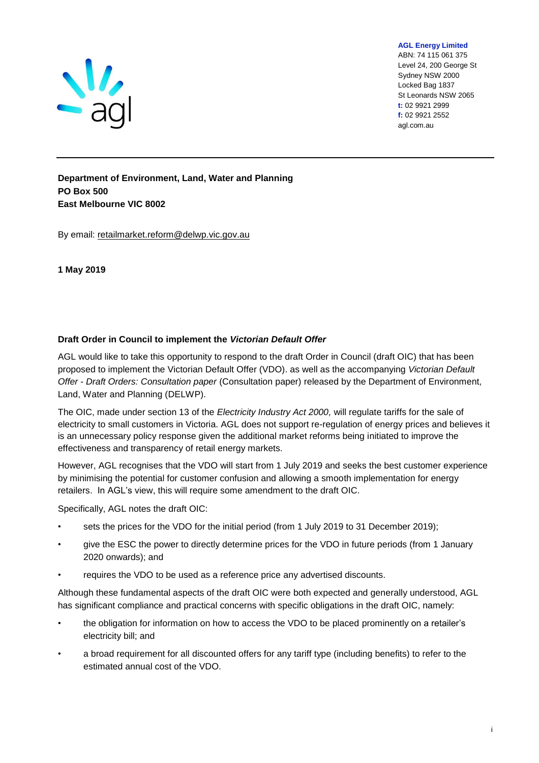

**AGL Energy Limited**

ABN: 74 115 061 375 Level 24, 200 George St Sydney NSW 2000 Locked Bag 1837 St Leonards NSW 2065 **t:** 02 9921 2999 **f:** 02 9921 2552 agl.com.au

**Department of Environment, Land, Water and Planning PO Box 500 East Melbourne VIC 8002**

By email: retailmarket.reform@delwp.vic.gov.au

#### **1 May 2019**

#### **Draft Order in Council to implement the** *Victorian Default Offer*

AGL would like to take this opportunity to respond to the draft Order in Council (draft OIC) that has been proposed to implement the Victorian Default Offer (VDO). as well as the accompanying *Victorian Default Offer - Draft Orders: Consultation paper* (Consultation paper) released by the Department of Environment, Land, Water and Planning (DELWP).

The OIC, made under section 13 of the *Electricity Industry Act 2000,* will regulate tariffs for the sale of electricity to small customers in Victoria. AGL does not support re-regulation of energy prices and believes it is an unnecessary policy response given the additional market reforms being initiated to improve the effectiveness and transparency of retail energy markets.

However, AGL recognises that the VDO will start from 1 July 2019 and seeks the best customer experience by minimising the potential for customer confusion and allowing a smooth implementation for energy retailers. In AGL's view, this will require some amendment to the draft OIC.

Specifically, AGL notes the draft OIC:

- sets the prices for the VDO for the initial period (from 1 July 2019 to 31 December 2019);
- give the ESC the power to directly determine prices for the VDO in future periods (from 1 January 2020 onwards); and
- requires the VDO to be used as a reference price any advertised discounts.

Although these fundamental aspects of the draft OIC were both expected and generally understood, AGL has significant compliance and practical concerns with specific obligations in the draft OIC, namely:

- the obligation for information on how to access the VDO to be placed prominently on a retailer's electricity bill; and
- a broad requirement for all discounted offers for any tariff type (including benefits) to refer to the estimated annual cost of the VDO.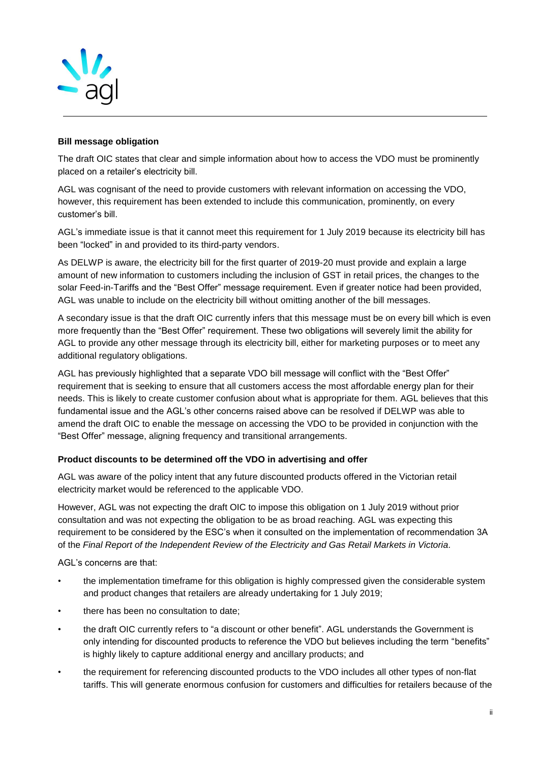

#### **Bill message obligation**

The draft OIC states that clear and simple information about how to access the VDO must be prominently placed on a retailer's electricity bill.

AGL was cognisant of the need to provide customers with relevant information on accessing the VDO, however, this requirement has been extended to include this communication, prominently, on every customer's bill.

AGL's immediate issue is that it cannot meet this requirement for 1 July 2019 because its electricity bill has been "locked" in and provided to its third-party vendors.

As DELWP is aware, the electricity bill for the first quarter of 2019-20 must provide and explain a large amount of new information to customers including the inclusion of GST in retail prices, the changes to the solar Feed-in-Tariffs and the "Best Offer" message requirement. Even if greater notice had been provided, AGL was unable to include on the electricity bill without omitting another of the bill messages.

A secondary issue is that the draft OIC currently infers that this message must be on every bill which is even more frequently than the "Best Offer" requirement. These two obligations will severely limit the ability for AGL to provide any other message through its electricity bill, either for marketing purposes or to meet any additional regulatory obligations.

AGL has previously highlighted that a separate VDO bill message will conflict with the "Best Offer" requirement that is seeking to ensure that all customers access the most affordable energy plan for their needs. This is likely to create customer confusion about what is appropriate for them. AGL believes that this fundamental issue and the AGL's other concerns raised above can be resolved if DELWP was able to amend the draft OIC to enable the message on accessing the VDO to be provided in conjunction with the "Best Offer" message, aligning frequency and transitional arrangements.

#### **Product discounts to be determined off the VDO in advertising and offer**

AGL was aware of the policy intent that any future discounted products offered in the Victorian retail electricity market would be referenced to the applicable VDO.

However, AGL was not expecting the draft OIC to impose this obligation on 1 July 2019 without prior consultation and was not expecting the obligation to be as broad reaching. AGL was expecting this requirement to be considered by the ESC's when it consulted on the implementation of recommendation 3A of the *Final Report of the Independent Review of the Electricity and Gas Retail Markets in Victoria.*

AGL's concerns are that:

- the implementation timeframe for this obligation is highly compressed given the considerable system and product changes that retailers are already undertaking for 1 July 2019;
- there has been no consultation to date;
- the draft OIC currently refers to "a discount or other benefit". AGL understands the Government is only intending for discounted products to reference the VDO but believes including the term "benefits" is highly likely to capture additional energy and ancillary products; and
- the requirement for referencing discounted products to the VDO includes all other types of non-flat tariffs. This will generate enormous confusion for customers and difficulties for retailers because of the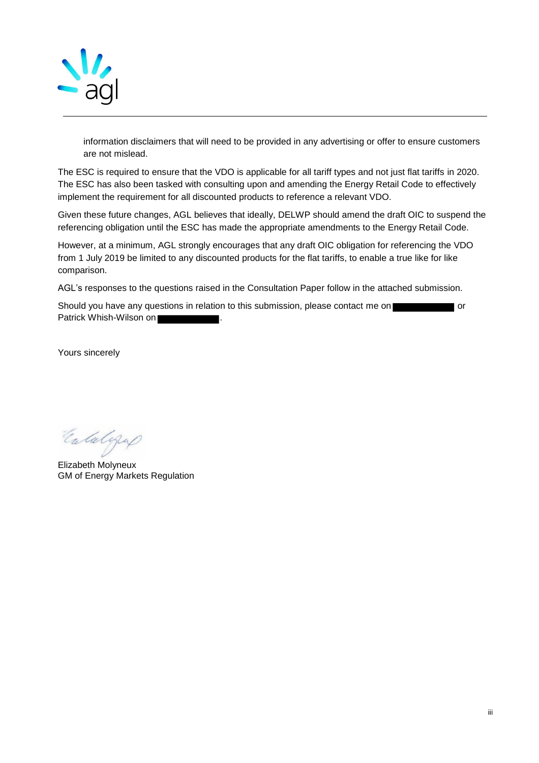

information disclaimers that will need to be provided in any advertising or offer to ensure customers are not mislead.

The ESC is required to ensure that the VDO is applicable for all tariff types and not just flat tariffs in 2020. The ESC has also been tasked with consulting upon and amending the Energy Retail Code to effectively implement the requirement for all discounted products to reference a relevant VDO.

Given these future changes, AGL believes that ideally, DELWP should amend the draft OIC to suspend the referencing obligation until the ESC has made the appropriate amendments to the Energy Retail Code.

However, at a minimum, AGL strongly encourages that any draft OIC obligation for referencing the VDO from 1 July 2019 be limited to any discounted products for the flat tariffs, to enable a true like for like comparison.

AGL's responses to the questions raised in the Consultation Paper follow in the attached submission.

Should you have any questions in relation to this submission, please contact me on or or Patrick Whish-Wilson on

Yours sincerely

Entalgap

Elizabeth Molyneux GM of Energy Markets Regulation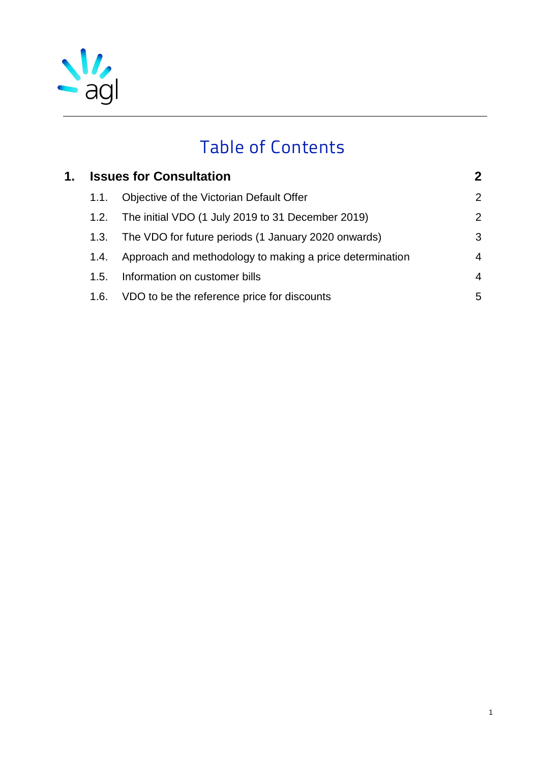

# Table of Contents

| 1. | <b>Issues for Consultation</b> |                                                          | $\mathbf 2$    |
|----|--------------------------------|----------------------------------------------------------|----------------|
|    | 1.1.                           | Objective of the Victorian Default Offer                 | $\overline{2}$ |
|    | 1.2.                           | The initial VDO (1 July 2019 to 31 December 2019)        | 2              |
|    | 1.3.                           | The VDO for future periods (1 January 2020 onwards)      | 3              |
|    | 1.4.                           | Approach and methodology to making a price determination | $\overline{4}$ |
|    | 1.5.                           | Information on customer bills                            | $\overline{4}$ |
|    | 1.6.                           | VDO to be the reference price for discounts              | 5              |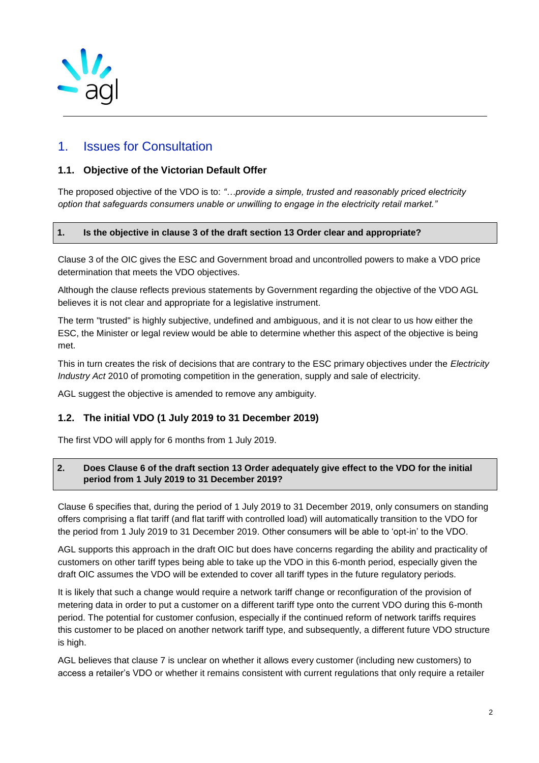

# <span id="page-4-0"></span>1. Issues for Consultation

## <span id="page-4-1"></span>**1.1. Objective of the Victorian Default Offer**

The proposed objective of the VDO is to: *"…provide a simple, trusted and reasonably priced electricity option that safeguards consumers unable or unwilling to engage in the electricity retail market."* 

#### **1. Is the objective in clause 3 of the draft section 13 Order clear and appropriate?**

Clause 3 of the OIC gives the ESC and Government broad and uncontrolled powers to make a VDO price determination that meets the VDO objectives.

Although the clause reflects previous statements by Government regarding the objective of the VDO AGL believes it is not clear and appropriate for a legislative instrument.

The term "trusted" is highly subjective, undefined and ambiguous, and it is not clear to us how either the ESC, the Minister or legal review would be able to determine whether this aspect of the objective is being met.

This in turn creates the risk of decisions that are contrary to the ESC primary objectives under the *Electricity Industry Act* 2010 of promoting competition in the generation, supply and sale of electricity.

AGL suggest the objective is amended to remove any ambiguity.

# <span id="page-4-2"></span>**1.2. The initial VDO (1 July 2019 to 31 December 2019)**

The first VDO will apply for 6 months from 1 July 2019.

#### **2. Does Clause 6 of the draft section 13 Order adequately give effect to the VDO for the initial period from 1 July 2019 to 31 December 2019?**

Clause 6 specifies that, during the period of 1 July 2019 to 31 December 2019, only consumers on standing offers comprising a flat tariff (and flat tariff with controlled load) will automatically transition to the VDO for the period from 1 July 2019 to 31 December 2019. Other consumers will be able to 'opt-in' to the VDO.

AGL supports this approach in the draft OIC but does have concerns regarding the ability and practicality of customers on other tariff types being able to take up the VDO in this 6-month period, especially given the draft OIC assumes the VDO will be extended to cover all tariff types in the future regulatory periods.

It is likely that such a change would require a network tariff change or reconfiguration of the provision of metering data in order to put a customer on a different tariff type onto the current VDO during this 6-month period. The potential for customer confusion, especially if the continued reform of network tariffs requires this customer to be placed on another network tariff type, and subsequently, a different future VDO structure is high.

AGL believes that clause 7 is unclear on whether it allows every customer (including new customers) to access a retailer's VDO or whether it remains consistent with current regulations that only require a retailer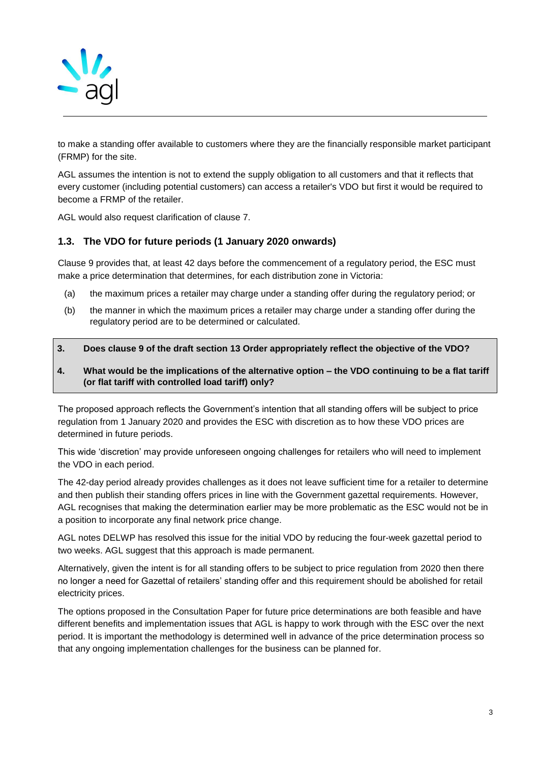

to make a standing offer available to customers where they are the financially responsible market participant (FRMP) for the site.

AGL assumes the intention is not to extend the supply obligation to all customers and that it reflects that every customer (including potential customers) can access a retailer's VDO but first it would be required to become a FRMP of the retailer.

AGL would also request clarification of clause 7.

## <span id="page-5-0"></span>**1.3. The VDO for future periods (1 January 2020 onwards)**

Clause 9 provides that, at least 42 days before the commencement of a regulatory period, the ESC must make a price determination that determines, for each distribution zone in Victoria:

- (a) the maximum prices a retailer may charge under a standing offer during the regulatory period; or
- (b) the manner in which the maximum prices a retailer may charge under a standing offer during the regulatory period are to be determined or calculated.

#### **3. Does clause 9 of the draft section 13 Order appropriately reflect the objective of the VDO?**

#### **4. What would be the implications of the alternative option – the VDO continuing to be a flat tariff (or flat tariff with controlled load tariff) only?**

The proposed approach reflects the Government's intention that all standing offers will be subject to price regulation from 1 January 2020 and provides the ESC with discretion as to how these VDO prices are determined in future periods.

This wide 'discretion' may provide unforeseen ongoing challenges for retailers who will need to implement the VDO in each period.

The 42-day period already provides challenges as it does not leave sufficient time for a retailer to determine and then publish their standing offers prices in line with the Government gazettal requirements. However, AGL recognises that making the determination earlier may be more problematic as the ESC would not be in a position to incorporate any final network price change.

AGL notes DELWP has resolved this issue for the initial VDO by reducing the four-week gazettal period to two weeks. AGL suggest that this approach is made permanent.

Alternatively, given the intent is for all standing offers to be subject to price regulation from 2020 then there no longer a need for Gazettal of retailers' standing offer and this requirement should be abolished for retail electricity prices.

The options proposed in the Consultation Paper for future price determinations are both feasible and have different benefits and implementation issues that AGL is happy to work through with the ESC over the next period. It is important the methodology is determined well in advance of the price determination process so that any ongoing implementation challenges for the business can be planned for.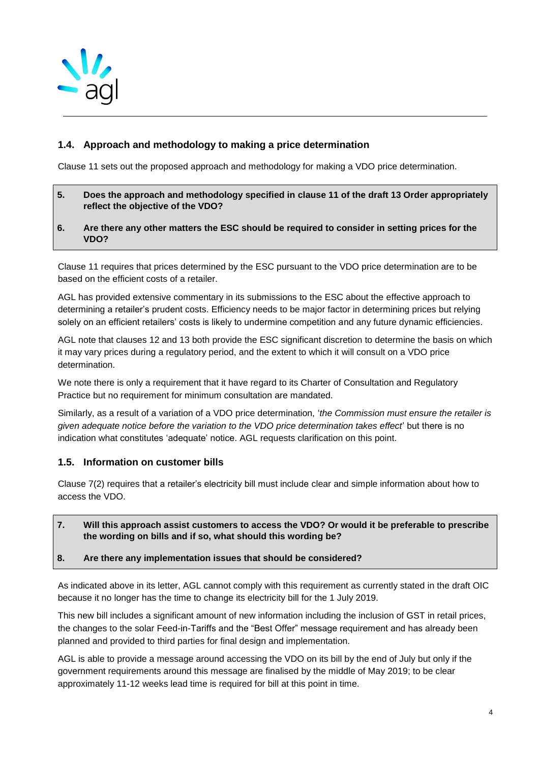

# <span id="page-6-0"></span>**1.4. Approach and methodology to making a price determination**

Clause 11 sets out the proposed approach and methodology for making a VDO price determination.

- **5. Does the approach and methodology specified in clause 11 of the draft 13 Order appropriately reflect the objective of the VDO?**
- **6. Are there any other matters the ESC should be required to consider in setting prices for the VDO?**

Clause 11 requires that prices determined by the ESC pursuant to the VDO price determination are to be based on the efficient costs of a retailer.

AGL has provided extensive commentary in its submissions to the ESC about the effective approach to determining a retailer's prudent costs. Efficiency needs to be major factor in determining prices but relying solely on an efficient retailers' costs is likely to undermine competition and any future dynamic efficiencies.

AGL note that clauses 12 and 13 both provide the ESC significant discretion to determine the basis on which it may vary prices during a regulatory period, and the extent to which it will consult on a VDO price determination.

We note there is only a requirement that it have regard to its Charter of Consultation and Regulatory Practice but no requirement for minimum consultation are mandated.

Similarly, as a result of a variation of a VDO price determination, '*the Commission must ensure the retailer is given adequate notice before the variation to the VDO price determination takes effect*' but there is no indication what constitutes 'adequate' notice. AGL requests clarification on this point.

#### <span id="page-6-1"></span>**1.5. Information on customer bills**

Clause 7(2) requires that a retailer's electricity bill must include clear and simple information about how to access the VDO.

**7. Will this approach assist customers to access the VDO? Or would it be preferable to prescribe the wording on bills and if so, what should this wording be?**

#### **8. Are there any implementation issues that should be considered?**

As indicated above in its letter, AGL cannot comply with this requirement as currently stated in the draft OIC because it no longer has the time to change its electricity bill for the 1 July 2019.

This new bill includes a significant amount of new information including the inclusion of GST in retail prices, the changes to the solar Feed-in-Tariffs and the "Best Offer" message requirement and has already been planned and provided to third parties for final design and implementation.

AGL is able to provide a message around accessing the VDO on its bill by the end of July but only if the government requirements around this message are finalised by the middle of May 2019; to be clear approximately 11-12 weeks lead time is required for bill at this point in time.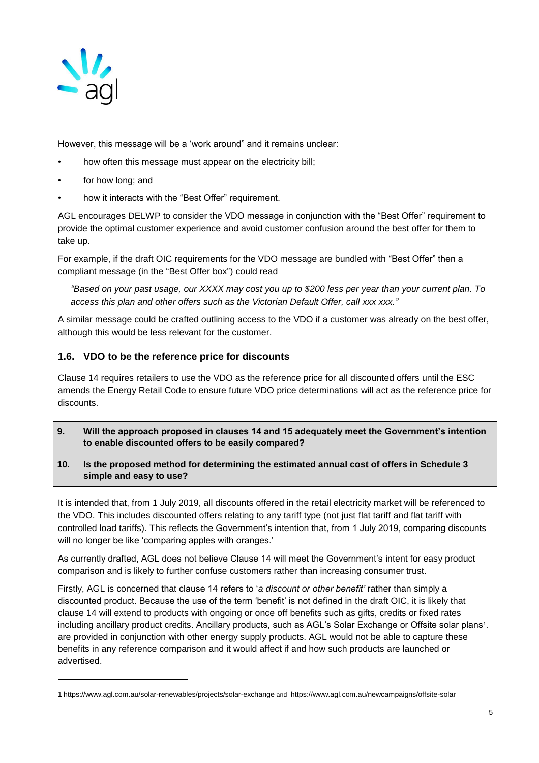

However, this message will be a 'work around" and it remains unclear:

- how often this message must appear on the electricity bill;
- for how long; and

l

how it interacts with the "Best Offer" requirement.

AGL encourages DELWP to consider the VDO message in conjunction with the "Best Offer" requirement to provide the optimal customer experience and avoid customer confusion around the best offer for them to take up.

For example, if the draft OIC requirements for the VDO message are bundled with "Best Offer" then a compliant message (in the "Best Offer box") could read

*"Based on your past usage, our XXXX may cost you up to \$200 less per year than your current plan. To access this plan and other offers such as the Victorian Default Offer, call xxx xxx."*

A similar message could be crafted outlining access to the VDO if a customer was already on the best offer, although this would be less relevant for the customer.

# <span id="page-7-0"></span>**1.6. VDO to be the reference price for discounts**

Clause 14 requires retailers to use the VDO as the reference price for all discounted offers until the ESC amends the Energy Retail Code to ensure future VDO price determinations will act as the reference price for discounts.

- **9. Will the approach proposed in clauses 14 and 15 adequately meet the Government's intention to enable discounted offers to be easily compared?**
- **10. Is the proposed method for determining the estimated annual cost of offers in Schedule 3 simple and easy to use?**

It is intended that, from 1 July 2019, all discounts offered in the retail electricity market will be referenced to the VDO. This includes discounted offers relating to any tariff type (not just flat tariff and flat tariff with controlled load tariffs). This reflects the Government's intention that, from 1 July 2019, comparing discounts will no longer be like 'comparing apples with oranges.'

As currently drafted, AGL does not believe Clause 14 will meet the Government's intent for easy product comparison and is likely to further confuse customers rather than increasing consumer trust.

Firstly, AGL is concerned that clause 14 refers to '*a discount or other benefit'* rather than simply a discounted product. Because the use of the term 'benefit' is not defined in the draft OIC, it is likely that clause 14 will extend to products with ongoing or once off benefits such as gifts, credits or fixed rates including ancillary product credits. Ancillary products, such as AGL's Solar Exchange or Offsite solar plans<sup>1</sup>. are provided in conjunction with other energy supply products. AGL would not be able to capture these benefits in any reference comparison and it would affect if and how such products are launched or advertised.

<sup>1</sup> https://www.agl.com.au/solar-renewables/projects/solar-exchange and https://www.agl.com.au/newcampaigns/offsite-solar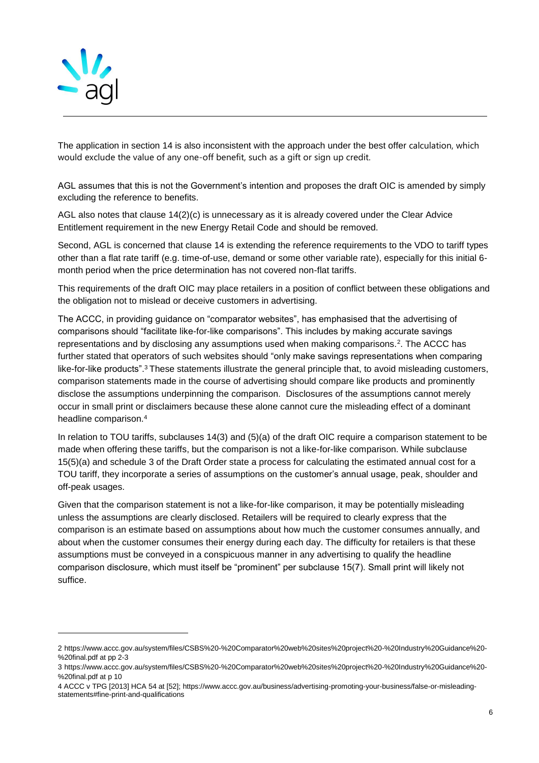

l

The application in section 14 is also inconsistent with the approach under the best offer calculation, which would exclude the value of any one-off benefit, such as a gift or sign up credit.

AGL assumes that this is not the Government's intention and proposes the draft OIC is amended by simply excluding the reference to benefits.

AGL also notes that clause 14(2)(c) is unnecessary as it is already covered under the Clear Advice Entitlement requirement in the new Energy Retail Code and should be removed.

Second, AGL is concerned that clause 14 is extending the reference requirements to the VDO to tariff types other than a flat rate tariff (e.g. time-of-use, demand or some other variable rate), especially for this initial 6 month period when the price determination has not covered non-flat tariffs.

This requirements of the draft OIC may place retailers in a position of conflict between these obligations and the obligation not to mislead or deceive customers in advertising.

The ACCC, in providing guidance on "comparator websites", has emphasised that the advertising of comparisons should "facilitate like-for-like comparisons". This includes by making accurate savings representations and by disclosing any assumptions used when making comparisons.<sup>2</sup>. The ACCC has further stated that operators of such websites should "only make savings representations when comparing like-for-like products".<sup>3</sup> These statements illustrate the general principle that, to avoid misleading customers, comparison statements made in the course of advertising should compare like products and prominently disclose the assumptions underpinning the comparison. Disclosures of the assumptions cannot merely occur in small print or disclaimers because these alone cannot cure the misleading effect of a dominant headline comparison.<sup>4</sup>

In relation to TOU tariffs, subclauses 14(3) and (5)(a) of the draft OIC require a comparison statement to be made when offering these tariffs, but the comparison is not a like-for-like comparison. While subclause 15(5)(a) and schedule 3 of the Draft Order state a process for calculating the estimated annual cost for a TOU tariff, they incorporate a series of assumptions on the customer's annual usage, peak, shoulder and off-peak usages.

Given that the comparison statement is not a like-for-like comparison, it may be potentially misleading unless the assumptions are clearly disclosed. Retailers will be required to clearly express that the comparison is an estimate based on assumptions about how much the customer consumes annually, and about when the customer consumes their energy during each day. The difficulty for retailers is that these assumptions must be conveyed in a conspicuous manner in any advertising to qualify the headline comparison disclosure, which must itself be "prominent" per subclause 15(7). Small print will likely not suffice.

<sup>2</sup> https://www.accc.gov.au/system/files/CSBS%20-%20Comparator%20web%20sites%20project%20-%20Industry%20Guidance%20- %20final.pdf at pp 2-3

<sup>3</sup> https://www.accc.gov.au/system/files/CSBS%20-%20Comparator%20web%20sites%20project%20-%20Industry%20Guidance%20- %20final.pdf at p 10

<sup>4</sup> ACCC v TPG [2013] HCA 54 at [52]; https://www.accc.gov.au/business/advertising-promoting-your-business/false-or-misleadingstatements#fine-print-and-qualifications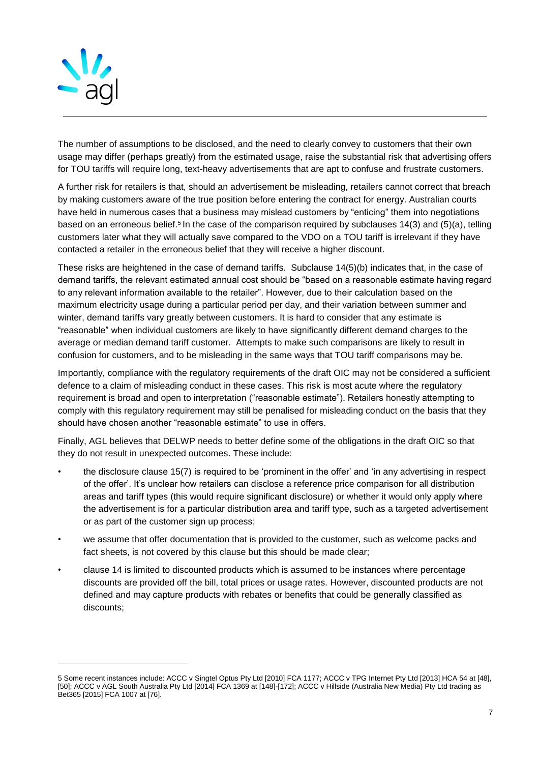

l

The number of assumptions to be disclosed, and the need to clearly convey to customers that their own usage may differ (perhaps greatly) from the estimated usage, raise the substantial risk that advertising offers for TOU tariffs will require long, text-heavy advertisements that are apt to confuse and frustrate customers.

A further risk for retailers is that, should an advertisement be misleading, retailers cannot correct that breach by making customers aware of the true position before entering the contract for energy. Australian courts have held in numerous cases that a business may mislead customers by "enticing" them into negotiations based on an erroneous belief.<sup>5</sup> In the case of the comparison required by subclauses 14(3) and (5)(a), telling customers later what they will actually save compared to the VDO on a TOU tariff is irrelevant if they have contacted a retailer in the erroneous belief that they will receive a higher discount.

These risks are heightened in the case of demand tariffs. Subclause 14(5)(b) indicates that, in the case of demand tariffs, the relevant estimated annual cost should be "based on a reasonable estimate having regard to any relevant information available to the retailer". However, due to their calculation based on the maximum electricity usage during a particular period per day, and their variation between summer and winter, demand tariffs vary greatly between customers. It is hard to consider that any estimate is "reasonable" when individual customers are likely to have significantly different demand charges to the average or median demand tariff customer. Attempts to make such comparisons are likely to result in confusion for customers, and to be misleading in the same ways that TOU tariff comparisons may be.

Importantly, compliance with the regulatory requirements of the draft OIC may not be considered a sufficient defence to a claim of misleading conduct in these cases. This risk is most acute where the regulatory requirement is broad and open to interpretation ("reasonable estimate"). Retailers honestly attempting to comply with this regulatory requirement may still be penalised for misleading conduct on the basis that they should have chosen another "reasonable estimate" to use in offers.

Finally, AGL believes that DELWP needs to better define some of the obligations in the draft OIC so that they do not result in unexpected outcomes. These include:

- the disclosure clause 15(7) is required to be 'prominent in the offer' and 'in any advertising in respect of the offer'. It's unclear how retailers can disclose a reference price comparison for all distribution areas and tariff types (this would require significant disclosure) or whether it would only apply where the advertisement is for a particular distribution area and tariff type, such as a targeted advertisement or as part of the customer sign up process;
- we assume that offer documentation that is provided to the customer, such as welcome packs and fact sheets, is not covered by this clause but this should be made clear;
- clause 14 is limited to discounted products which is assumed to be instances where percentage discounts are provided off the bill, total prices or usage rates. However, discounted products are not defined and may capture products with rebates or benefits that could be generally classified as discounts;

<sup>5</sup> Some recent instances include: ACCC v Singtel Optus Pty Ltd [2010] FCA 1177; ACCC v TPG Internet Pty Ltd [2013] HCA 54 at [48], [50]; ACCC v AGL South Australia Pty Ltd [2014] FCA 1369 at [148]-[172]; ACCC v Hillside (Australia New Media) Pty Ltd trading as Bet365 [2015] FCA 1007 at [76].